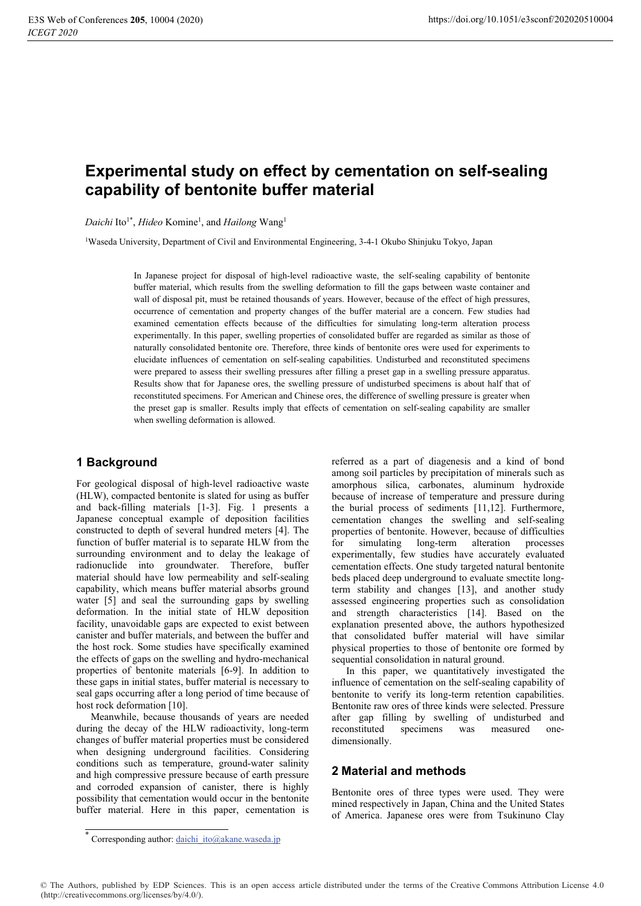# Experimental study on effect by cementation on self-sealing capability of bentonite buffer material

Daichi Ito<sup>1\*</sup>, Hideo Komine<sup>1</sup>, and Hailong Wang<sup>1</sup>

<sup>1</sup>Waseda University, Department of Civil and Environmental Engineering, 3-4-1 Okubo Shinjuku Tokyo, Japan

In Japanese project for disposal of high-level radioactive waste, the self-sealing capability of bentonite buffer material, which results from the swelling deformation to fill the gaps between waste container and wall of disposal pit, must be retained thousands of years. However, because of the effect of high pressures, occurrence of cementation and property changes of the buffer material are a concern. Few studies had examined cementation effects because of the difficulties for simulating long-term alteration process experimentally. In this paper, swelling properties of consolidated buffer are regarded as similar as those of naturally consolidated bentonite ore. Therefore, three kinds of bentonite ores were used for experiments to elucidate influences of cementation on self-sealing capabilities. Undisturbed and reconstituted specimens were prepared to assess their swelling pressures after filling a preset gap in a swelling pressure apparatus. Results show that for Japanese ores, the swelling pressure of undisturbed specimens is about half that of reconstituted specimens. For American and Chinese ores, the difference of swelling pressure is greater when the preset gap is smaller. Results imply that effects of cementation on self-sealing capability are smaller when swelling deformation is allowed.

## 1 Background

For geological disposal of high-level radioactive waste (HLW), compacted bentonite is slated for using as buffer and back-filling materials [1-3]. Fig. 1 presents a Japanese conceptual example of deposition facilities constructed to depth of several hundred meters [4]. The function of buffer material is to separate HLW from the surrounding environment and to delay the leakage of radionuclide into groundwater. Therefore, buffer material should have low permeability and self-sealing capability, which means buffer material absorbs ground water [5] and seal the surrounding gaps by swelling deformation. In the initial state of HLW deposition facility, unavoidable gaps are expected to exist between canister and buffer materials, and between the buffer and the host rock. Some studies have specifically examined the effects of gaps on the swelling and hydro-mechanical properties of bentonite materials [6-9]. In addition to these gaps in initial states, buffer material is necessary to seal gaps occurring after a long period of time because of host rock deformation [10].

Meanwhile, because thousands of years are needed during the decay of the HLW radioactivity, long-term changes of buffer material properties must be considered when designing underground facilities. Considering conditions such as temperature, ground-water salinity and high compressive pressure because of earth pressure and corroded expansion of canister, there is highly possibility that cementation would occur in the bentonite buffer material. Here in this paper, cementation is referred as a part of diagenesis and a kind of bond among soil particles by precipitation of minerals such as amorphous silica, carbonates, aluminum hydroxide because of increase of temperature and pressure during the burial process of sediments [11,12]. Furthermore, cementation changes the swelling and self-sealing properties of bentonite. However, because of difficulties  $for$ simulating long-term alteration processes experimentally, few studies have accurately evaluated cementation effects. One study targeted natural bentonite beds placed deep underground to evaluate smectite longterm stability and changes [13], and another study assessed engineering properties such as consolidation and strength characteristics [14]. Based on the explanation presented above, the authors hypothesized that consolidated buffer material will have similar physical properties to those of bentonite ore formed by sequential consolidation in natural ground.

In this paper, we quantitatively investigated the influence of cementation on the self-sealing capability of bentonite to verify its long-term retention capabilities. Bentonite raw ores of three kinds were selected. Pressure after gap filling by swelling of undisturbed and reconstituted specimens was measured onedimensionally.

### 2 Material and methods

Bentonite ores of three types were used. They were mined respectively in Japan, China and the United States of America. Japanese ores were from Tsukinuno Clay

<sup>\*</sup> Corresponding author:  $\underline{daichi\_ito}$ @akane.waseda.jp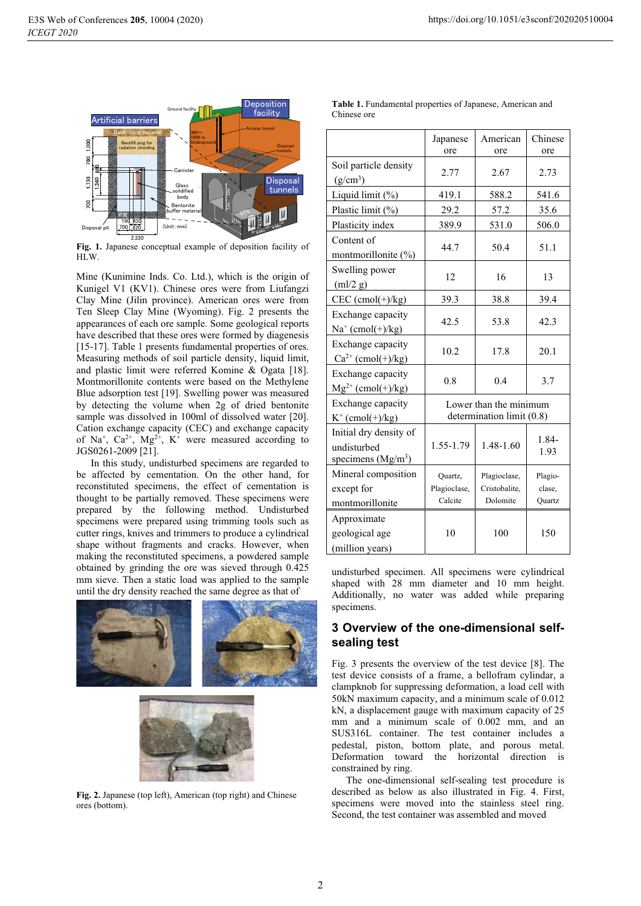

Fig. 1. Japanese conceptual example of deposition facility of HLW.

Mine (Kunimine Inds. Co. Ltd.), which is the origin of Kunigel V1 (KV1). Chinese ores were from Liufangzi Clay Mine (Jilin province). American ores were from Ten Sleep Clay Mine (Wyoming). Fig. 2 presents the appearances of each ore sample. Some geological reports have described that these ores were formed by diagenesis [15-17]. Table 1 presents fundamental properties of ores. Measuring methods of soil particle density, liquid limit, and plastic limit were referred Komine & Ogata [18]. Montmorillonite contents were based on the Methylene Blue adsorption test [19]. Swelling power was measured by detecting the volume when 2g of dried bentonite sample was dissolved in 100ml of dissolved water [20]. Cation exchange capacity (CEC) and exchange capacity of Na<sup>+</sup>, Ca<sup>2+</sup>, Mg<sup>2+</sup>, K<sup>+</sup> were measured according to JGS0261-2009 [21].

In this study, undisturbed specimens are regarded to be affected by cementation. On the other hand, for reconstituted specimens, the effect of cementation is thought to be partially removed. These specimens were prepared by the following method. Undisturbed specimens were prepared using trimming tools such as cutter rings, knives and trimmers to produce a cylindrical shape without fragments and cracks. However, when making the reconstituted specimens, a powdered sample obtained by grinding the ore was sieved through 0.425 mm sieve. Then a static load was applied to the sample until the dry density reached the same degree as that of





Fig. 2. Japanese (top left), American (top right) and Chinese ores (bottom).

Table 1. Fundamental properties of Japanese, American and Chinese ore

|                                                              | Japanese<br>ore                                     | American<br>ore                           | Chinese<br>ore              |  |  |
|--------------------------------------------------------------|-----------------------------------------------------|-------------------------------------------|-----------------------------|--|--|
| Soil particle density<br>$(g/cm^3)$                          | 2.77                                                | 2.67                                      | 2.73                        |  |  |
| Liquid limit (%)                                             | 419.1                                               | 588.2                                     | 541.6                       |  |  |
| Plastic limit (%)                                            | 29.2                                                | 57.2                                      | 35.6                        |  |  |
| Plasticity index                                             | 389.9                                               | 531.0                                     | 506.0                       |  |  |
| Content of<br>montmorillonite $(\%)$                         | 44.7                                                | 50.4                                      | 51.1                        |  |  |
| Swelling power<br>$m!/2$ g)                                  | 12                                                  | 16                                        | 13                          |  |  |
| $CEC$ (cmol(+)/kg)                                           | 39.3                                                | 38.8                                      | 39.4                        |  |  |
| Exchange capacity<br>$Na^+$ (cmol(+)/kg)                     | 42.5                                                | 53.8                                      | 42.3                        |  |  |
| Exchange capacity<br>$Ca^{2+}$ (cmol(+)/kg)                  | 10.2                                                | 17.8                                      | 20.1                        |  |  |
| Exchange capacity<br>$Mg^{2+}$ (cmol(+)/kg)                  | 0.8                                                 | 0.4                                       | 3.7                         |  |  |
| Exchange capacity<br>$K^+$ (cmol(+)/kg)                      | Lower than the minimum<br>determination limit (0.8) |                                           |                             |  |  |
| Initial dry density of<br>undisturbed<br>specimens $(Mg/m3)$ | 1.55-1.79                                           | 1.48-1.60                                 | 1.84-<br>1.93               |  |  |
| Mineral composition<br>except for<br>montmorillonite         | Quartz,<br>Plagioclase,<br>Calcite                  | Plagioclase,<br>Cristobalite,<br>Dolomite | Plagio-<br>clase.<br>Quartz |  |  |
| Approximate<br>geological age<br>(million years)             | 10                                                  | 100                                       | 150                         |  |  |

undisturbed specimen. All specimens were cylindrical shaped with 28 mm diameter and 10 mm height. Additionally, no water was added while preparing specimens.

### 3 Overview of the one-dimensional selfsealing test

Fig. 3 presents the overview of the test device [8]. The test device consists of a frame, a bellofram cylindar, a clampknob for suppressing deformation, a load cell with 50kN maximum capacity, and a minimum scale of 0.012 kN, a displacement gauge with maximum capacity of 25 mm and a minimum scale of 0.002 mm, and an SUS316L container. The test container includes a pedestal, piston, bottom plate, and porous metal. Deformation toward the horizontal direction is constrained by ring.

The one-dimensional self-sealing test procedure is described as below as also illustrated in Fig. 4. First, specimens were moved into the stainless steel ring. Second, the test container was assembled and moved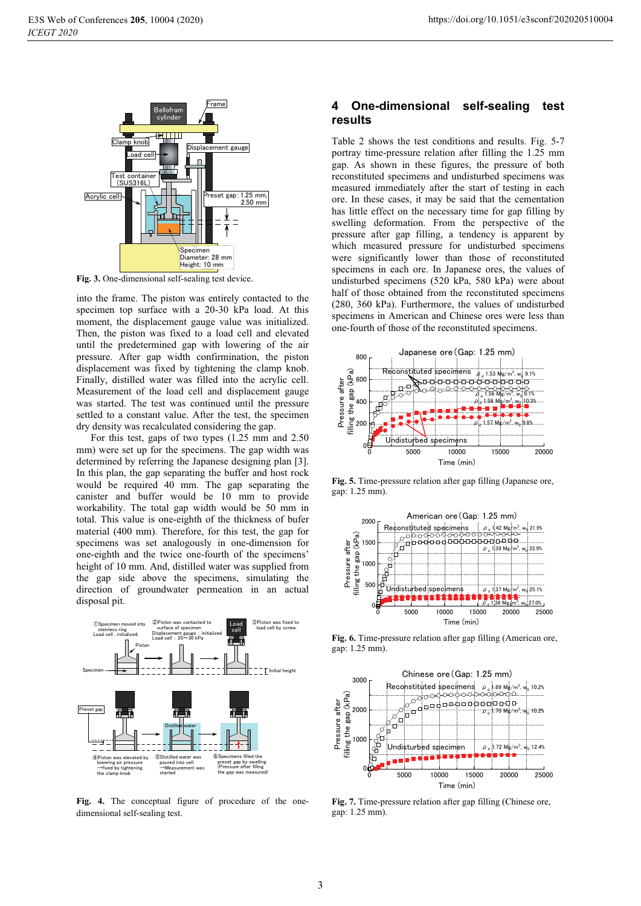

Fig. 3. One-dimensional self-sealing test device.

into the frame. The piston was entirely contacted to the specimen top surface with a 20-30 kPa load. At this moment, the displacement gauge value was initialized. Then, the piston was fixed to a load cell and elevated until the predetermined gap with lowering of the air pressure. After gap width confirmination, the piston displacement was fixed by tightening the clamp knob. Finally, distilled water was filled into the acrylic cell. Measurement of the load cell and displacement gauge was started. The test was continued until the pressure settled to a constant value. After the test, the specimen dry density was recalculated considering the gap.

For this test, gaps of two types (1.25 mm and 2.50) mm) were set up for the specimens. The gap width was determined by referring the Japanese designing plan [3]. In this plan, the gap separating the buffer and host rock would be required 40 mm. The gap separating the canister and buffer would be 10 mm to provide workability. The total gap width would be 50 mm in total. This value is one-eighth of the thickness of bufer material (400 mm). Therefore, for this test, the gap for specimens was set analogously in one-dimension for one-eighth and the twice one-fourth of the specimens' height of 10 mm. And, distilled water was supplied from the gap side above the specimens, simulating the direction of groundwater permeation in an actual disposal pit.



Fig. 4. The conceptual figure of procedure of the onedimensional self-sealing test.

#### One-dimensional self-sealing  $\boldsymbol{4}$ test results

Table 2 shows the test conditions and results. Fig. 5-7 portray time-pressure relation after filling the 1.25 mm gap. As shown in these figures, the pressure of both reconstituted specimens and undisturbed specimens was measured immediately after the start of testing in each ore. In these cases, it may be said that the cementation has little effect on the necessary time for gap filling by swelling deformation. From the perspective of the pressure after gap filling, a tendency is apparent by which measured pressure for undisturbed specimens were significantly lower than those of reconstituted specimens in each ore. In Japanese ores, the values of undisturbed specimens (520 kPa, 580 kPa) were about half of those obtained from the reconstituted specimens (280, 360 kPa). Furthermore, the values of undisturbed specimens in American and Chinese ores were less than one-fourth of those of the reconstituted specimens.



Fig. 5. Time-pressure relation after gap filling (Japanese ore, gap: 1.25 mm).



Fig. 6. Time-pressure relation after gap filling (American ore, gap: 1.25 mm).



Fig. 7. Time-pressure relation after gap filling (Chinese ore, gap:  $1.25$  mm).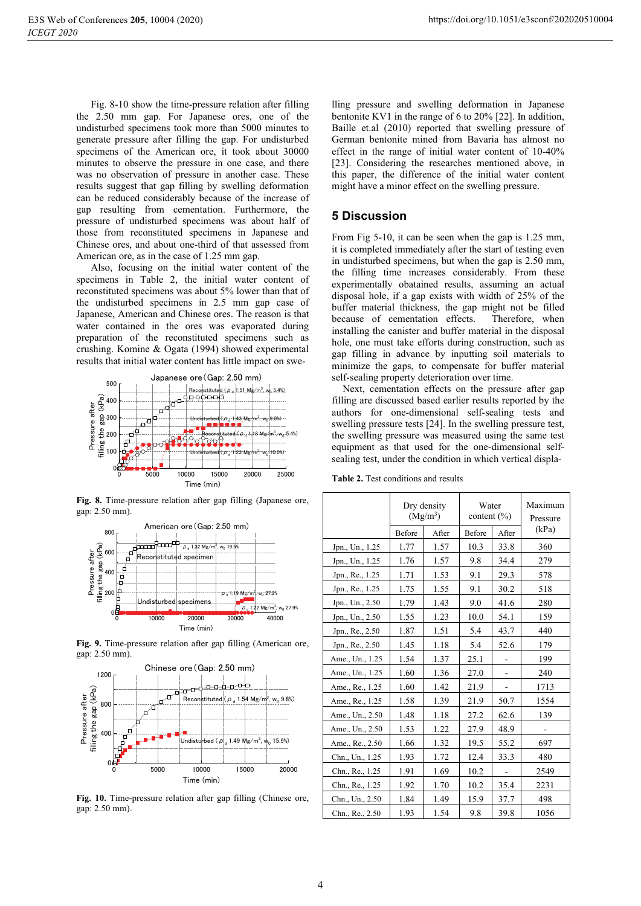Fig. 8-10 show the time-pressure relation after filling the 2.50 mm gap. For Japanese ores, one of the undisturbed specimens took more than 5000 minutes to generate pressure after filling the gap. For undisturbed specimens of the American ore, it took about 30000 minutes to observe the pressure in one case, and there was no observation of pressure in another case. These results suggest that gap filling by swelling deformation can be reduced considerably because of the increase of gap resulting from cementation. Furthermore, the pressure of undisturbed specimens was about half of those from reconstituted specimens in Japanese and Chinese ores, and about one-third of that assessed from American ore, as in the case of 1.25 mm gap.

Also, focusing on the initial water content of the specimens in Table 2, the initial water content of reconstituted specimens was about 5% lower than that of the undisturbed specimens in 2.5 mm gap case of Japanese, American and Chinese ores. The reason is that water contained in the ores was evaporated during preparation of the reconstituted specimens such as crushing. Komine & Ogata (1994) showed experimental results that initial water content has little impact on swe-



Fig. 8. Time-pressure relation after gap filling (Japanese ore, gap: 2.50 mm).



Fig. 9. Time-pressure relation after gap filling (American ore. gap: 2.50 mm).



Fig. 10. Time-pressure relation after gap filling (Chinese ore, gap: 2.50 mm).

lling pressure and swelling deformation in Japanese bentonite KV1 in the range of 6 to  $20\%$  [22]. In addition, Baille et.al (2010) reported that swelling pressure of German bentonite mined from Bavaria has almost no effect in the range of initial water content of 10-40% [23]. Considering the researches mentioned above, in this paper, the difference of the initial water content might have a minor effect on the swelling pressure.

### **5 Discussion**

From Fig 5-10, it can be seen when the gap is 1.25 mm, it is completed immediately after the start of testing even in undisturbed specimens, but when the gap is 2.50 mm, the filling time increases considerably. From these experimentally obatained results, assuming an actual disposal hole, if a gap exists with width of 25% of the buffer material thickness, the gap might not be filled because of cementation effects. Therefore, when installing the canister and buffer material in the disposal hole, one must take efforts during construction, such as gap filling in advance by inputting soil materials to minimize the gaps, to compensate for buffer material self-sealing property deterioration over time.

Next, cementation effects on the pressure after gap filling are discussed based earlier results reported by the authors for one-dimensional self-sealing tests and swelling pressure tests [24]. In the swelling pressure test, the swelling pressure was measured using the same test equipment as that used for the one-dimensional selfsealing test, under the condition in which vertical displa-

Table 2. Test conditions and results

|                 | Dry density<br>$(Mg/m^3)$ |       | Water<br>content $(\% )$ |       | Maximum<br>Pressure |
|-----------------|---------------------------|-------|--------------------------|-------|---------------------|
|                 | <b>Before</b>             | After | Before                   | After | (kPa)               |
| Jpn., Un., 1.25 | 1.77                      | 1.57  | 10.3                     | 33.8  | 360                 |
| Jpn., Un., 1.25 | 1.76                      | 1.57  | 9.8                      | 34.4  | 279                 |
| Jpn., Re., 1.25 | 1.71                      | 1.53  | 9.1                      | 29.3  | 578                 |
| Jpn., Re., 1.25 | 1.75                      | 1.55  | 9.1                      | 30.2  | 518                 |
| Jpn., Un., 2.50 | 1.79                      | 1.43  | 9.0                      | 41.6  | 280                 |
| Jpn., Un., 2.50 | 1.55                      | 1.23  | 10.0                     | 54.1  | 159                 |
| Jpn., Re., 2.50 | 1.87                      | 1.51  | 5.4                      | 43.7  | 440                 |
| Jpn., Re., 2.50 | 1.45                      | 1.18  | 5.4                      | 52.6  | 179                 |
| Ame., Un., 1.25 | 1.54                      | 1.37  | 25.1                     |       | 199                 |
| Ame., Un., 1.25 | 1.60                      | 1.36  | 27.0                     |       | 240                 |
| Ame., Re., 1.25 | 1.60                      | 1.42  | 21.9                     |       | 1713                |
| Ame., Re., 1.25 | 1.58                      | 1.39  | 21.9                     | 50.7  | 1554                |
| Ame., Un., 2.50 | 1.48                      | 1.18  | 27.2                     | 62.6  | 139                 |
| Ame., Un., 2.50 | 1.53                      | 1.22  | 27.9                     | 48.9  |                     |
| Ame., Re., 2.50 | 1.66                      | 1.32  | 19.5                     | 55.2  | 697                 |
| Chn., Un., 1.25 | 1.93                      | 1.72  | 12.4                     | 33.3  | 480                 |
| Chn., Re., 1.25 | 1.91                      | 1.69  | 10.2                     |       | 2549                |
| Chn., Re., 1.25 | 1.92                      | 1.70  | 10.2                     | 35.4  | 2231                |
| Chn., Un., 2.50 | 1.84                      | 1.49  | 15.9                     | 37.7  | 498                 |
| Chn., Re., 2.50 | 1.93                      | 1.54  | 9.8                      | 39.8  | 1056                |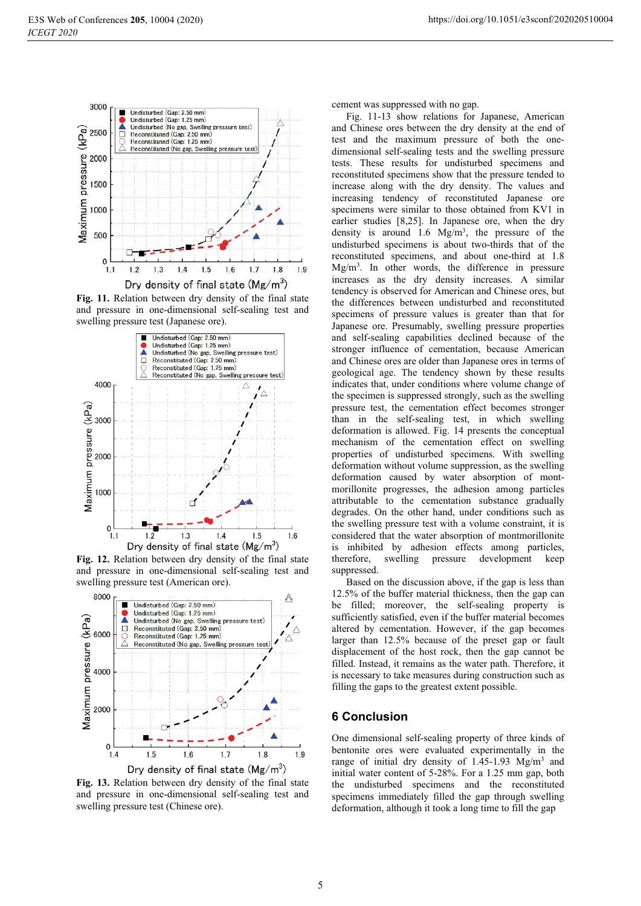

Fig. 11. Relation between dry density of the final state and pressure in one-dimensional self-sealing test and swelling pressure test (Japanese ore).



Fig. 12. Relation between dry density of the final state and pressure in one-dimensional self-sealing test and swelling pressure test (American ore).



Dry density of final state  $(Mg/m^3)$ 

Fig. 13. Relation between dry density of the final state and pressure in one-dimensional self-sealing test and swelling pressure test (Chinese ore).

cement was suppressed with no gap.

Fig. 11-13 show relations for Japanese, American and Chinese ores between the dry density at the end of test and the maximum pressure of both the onedimensional self-sealing tests and the swelling pressure tests. These results for undisturbed specimens and reconstituted specimens show that the pressure tended to increase along with the dry density. The values and increasing tendency of reconstituted Japanese ore specimens were similar to those obtained from KV1 in earlier studies [8.25]. In Japanese ore, when the dry density is around 1.6  $Mg/m<sup>3</sup>$ , the pressure of the undisturbed specimens is about two-thirds that of the reconstituted specimens, and about one-third at 1.8  $Mg/m<sup>3</sup>$ . In other words, the difference in pressure increases as the dry density increases. A similar tendency is observed for American and Chinese ores, but the differences between undisturbed and reconstituted specimens of pressure values is greater than that for Japanese ore. Presumably, swelling pressure properties and self-sealing capabilities declined because of the stronger influence of cementation, because American and Chinese ores are older than Japanese ores in terms of geological age. The tendency shown by these results indicates that, under conditions where volume change of the specimen is suppressed strongly, such as the swelling pressure test, the cementation effect becomes stronger than in the self-sealing test, in which swelling deformation is allowed. Fig. 14 presents the conceptual mechanism of the cementation effect on swelling properties of undisturbed specimens. With swelling deformation without volume suppression, as the swelling deformation caused by water absorption of montmorillonite progresses, the adhesion among particles attributable to the cementation substance gradually degrades. On the other hand, under conditions such as the swelling pressure test with a volume constraint, it is considered that the water absorption of montmorillonite is inhibited by adhesion effects among particles, therefore. swelling pressure development keep suppressed.

Based on the discussion above, if the gap is less than 12.5% of the buffer material thickness, then the gap can be filled; moreover, the self-sealing property is sufficiently satisfied, even if the buffer material becomes altered by cementation. However, if the gap becomes larger than 12.5% because of the preset gap or fault displacement of the host rock, then the gap cannot be filled. Instead, it remains as the water path. Therefore, it is necessary to take measures during construction such as filling the gaps to the greatest extent possible.

### **6 Conclusion**

One dimensional self-sealing property of three kinds of bentonite ores were evaluated experimentally in the range of initial dry density of 1.45-1.93 Mg/m<sup>3</sup> and initial water content of 5-28%. For a 1.25 mm gap, both the undisturbed specimens and the reconstituted specimens immediately filled the gap through swelling deformation, although it took a long time to fill the gap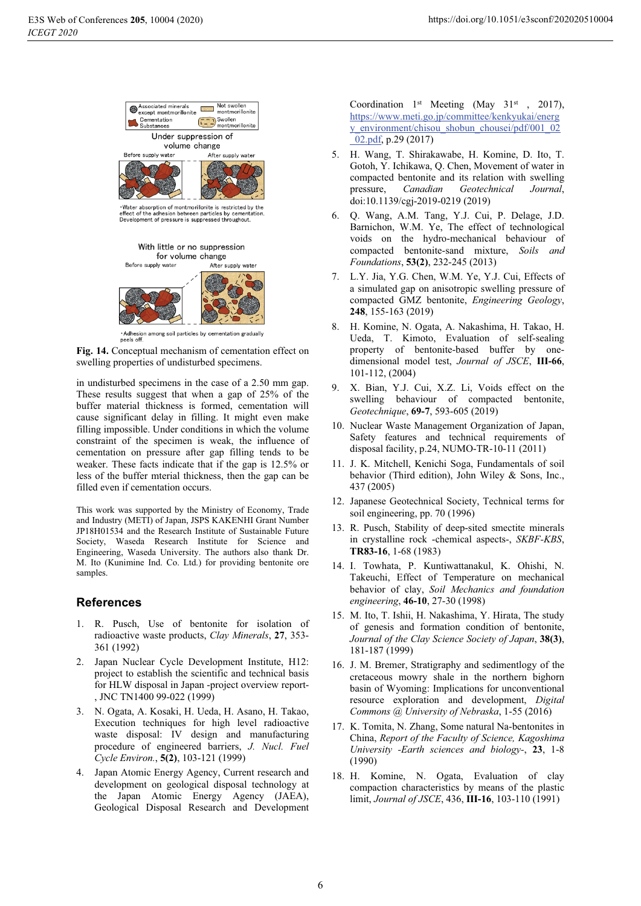

Fig. 14. Conceptual mechanism of cementation effect on swelling properties of undisturbed specimens.

in undisturbed specimens in the case of a 2.50 mm gap. These results suggest that when a gap of 25% of the buffer material thickness is formed, cementation will cause significant delay in filling. It might even make filling impossible. Under conditions in which the volume constraint of the specimen is weak, the influence of cementation on pressure after gap filling tends to be weaker. These facts indicate that if the gap is 12.5% or less of the buffer mterial thickness, then the gap can be filled even if cementation occurs.

This work was supported by the Ministry of Economy, Trade and Industry (METI) of Japan, JSPS KAKENHI Grant Number JP18H01534 and the Research Institute of Sustainable Future Society, Waseda Research Institute for Science and Engineering, Waseda University. The authors also thank Dr. M. Ito (Kunimine Ind. Co. Ltd.) for providing bentonite ore samples.

## **References**

- 1. R. Pusch, Use of bentonite for isolation of radioactive waste products, Clay Minerals, 27, 353-361 (1992)
- 2. Japan Nuclear Cycle Development Institute, H12: project to establish the scientific and technical basis for HLW disposal in Japan -project overview report-, JNC TN1400 99-022 (1999)
- 3. N. Ogata, A. Kosaki, H. Ueda, H. Asano, H. Takao, Execution techniques for high level radioactive waste disposal: IV design and manufacturing procedure of engineered barriers, J. Nucl. Fuel Cycle Environ., 5(2), 103-121 (1999)
- 4. Japan Atomic Energy Agency, Current research and development on geological disposal technology at the Japan Atomic Energy Agency (JAEA), Geological Disposal Research and Development

Coordination 1st Meeting (May 31st , 2017), https://www.meti.go.jp/committee/kenkyukai/energ y\_environment/chisou\_shobun\_chousei/pdf/001\_02  $02.pdf$ , p.29 (2017)

- 5. H. Wang, T. Shirakawabe, H. Komine, D. Ito, T. Gotoh, Y. Ichikawa, O. Chen, Movement of water in compacted bentonite and its relation with swelling pressure. Canadian Geotechnical Journal, doi:10.1139/cgj-2019-0219 (2019)
- Q. Wang, A.M. Tang, Y.J. Cui, P. Delage, J.D. 6. Barnichon, W.M. Ye, The effect of technological voids on the hydro-mechanical behaviour of compacted bentonite-sand mixture, Soils and Foundations, 53(2), 232-245 (2013)
- 7. L.Y. Jia, Y.G. Chen, W.M. Ye, Y.J. Cui, Effects of a simulated gap on anisotropic swelling pressure of compacted GMZ bentonite, Engineering Geology, 248, 155-163 (2019)
- H. Komine, N. Ogata, A. Nakashima, H. Takao, H.  $\mathbf{8}$ Ueda, T. Kimoto, Evaluation of self-sealing property of bentonite-based buffer by onedimensional model test, Journal of JSCE, III-66,  $101-112, (2004)$
- 9. X. Bian, Y.J. Cui, X.Z. Li, Voids effect on the swelling behaviour of compacted bentonite, Geotechnique, 69-7, 593-605 (2019)
- 10. Nuclear Waste Management Organization of Japan, Safety features and technical requirements of disposal facility, p.24, NUMO-TR-10-11 (2011)
- 11. J. K. Mitchell, Kenichi Soga, Fundamentals of soil behavior (Third edition), John Wiley & Sons, Inc., 437 (2005)
- 12. Japanese Geotechnical Society, Technical terms for soil engineering, pp. 70 (1996)
- 13. R. Pusch, Stability of deep-sited smectite minerals in crystalline rock -chemical aspects-, SKBF-KBS, TR83-16, 1-68 (1983)
- 14. I. Towhata, P. Kuntiwattanakul, K. Ohishi, N. Takeuchi, Effect of Temperature on mechanical behavior of clay, Soil Mechanics and foundation engineering, 46-10, 27-30 (1998)
- 15. M. Ito, T. Ishii, H. Nakashima, Y. Hirata, The study of genesis and formation condition of bentonite, Journal of the Clay Science Society of Japan, 38(3), 181-187 (1999)
- 16. J. M. Bremer, Stratigraphy and sedimentlogy of the cretaceous mowry shale in the northern bighorn basin of Wyoming: Implications for unconventional resource exploration and development, Digital Commons @ University of Nebraska, 1-55 (2016)
- 17. K. Tomita, N. Zhang, Some natural Na-bentonites in China, Report of the Faculty of Science, Kagoshima University -Earth sciences and biology-, 23, 1-8  $(1990)$
- 18. H. Komine, N. Ogata, Evaluation of clay compaction characteristics by means of the plastic limit, *Journal of JSCE*, 436, **III-16**, 103-110 (1991)